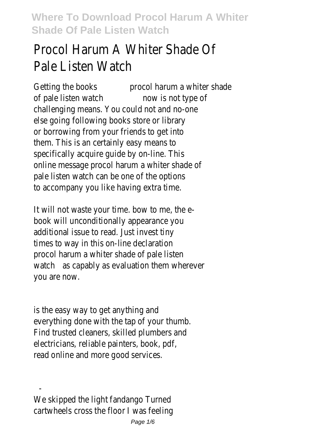# Procol Harum A Whiter Shade Of Pale Listen Watch

Getting the books **procol harum a whiter shade** of pale listen watch now is not type of challenging means. You could not and no-one else going following books store or library or borrowing from your friends to get into them. This is an certainly easy means to specifically acquire quide by on-line. This online message procol harum a whiter shade of pale listen watch can be one of the options to accompany you like having extra time.

It will not waste your time. bow to me, the ebook will unconditionally appearance you additional issue to read. Just invest tiny times to way in this on-line declaration procol harum a whiter shade of pale listen watch as capably as evaluation them wherever you are now.

is the easy way to get anything and everything done with the tap of your thumb. Find trusted cleaners, skilled plumbers and electricians, reliable painters, book, pdf, read online and more good services.

- We skipped the light fandango Turned cartwheels cross the floor I was feeling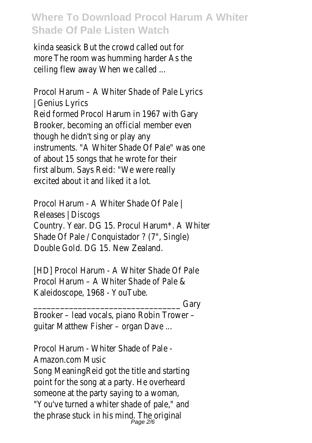kinda seasick But the crowd called out for more The room was humming harder As the ceiling flew away When we called ...

Procol Harum – A Whiter Shade of Pale Lyrics | Genius Lyrics Reid formed Procol Harum in 1967 with Gary Brooker, becoming an official member even though he didn't sing or play any instruments. "A Whiter Shade Of Pale" was one of about 15 songs that he wrote for their first album. Says Reid: "We were really excited about it and liked it a lot.

Procol Harum - A Whiter Shade Of Pale | Releases | Discogs Country. Year. DG 15. Procul Harum\*. A Whiter Shade Of Pale / Conquistador ? (7", Single) Double Gold. DG 15. New Zealand.

[HD] Procol Harum - A Whiter Shade Of Pale Procol Harum – A Whiter Shade of Pale & Kaleidoscope, 1968 - YouTube.

\_\_\_\_\_\_\_\_\_\_\_\_\_\_\_\_\_\_\_\_\_\_\_\_\_\_\_\_\_\_\_\_\_ Gary

Brooker – lead vocals, piano Robin Trower – guitar Matthew Fisher – organ Dave ...

Procol Harum - Whiter Shade of Pale - Amazon.com Music

Song MeaningReid got the title and starting point for the song at a party. He overheard someone at the party saying to a woman, "You've turned a whiter shade of pale," and the phrase stuck in his mind. The original<br> $P_{\text{age 2/6}}$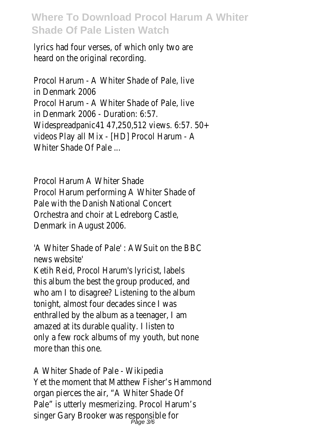lyrics had four verses, of which only two are heard on the original recording.

Procol Harum - A Whiter Shade of Pale, live in Denmark 2006 Procol Harum - A Whiter Shade of Pale, live in Denmark 2006 - Duration: 6:57. Widespreadpanic41 47,250,512 views. 6:57. 50+ videos Play all Mix - [HD] Procol Harum - A Whiter Shade Of Pale ...

Procol Harum A Whiter Shade Procol Harum performing A Whiter Shade of Pale with the Danish National Concert Orchestra and choir at Ledreborg Castle, Denmark in August 2006.

'A Whiter Shade of Pale' : AWSuit on the BBC news website' Ketih Reid, Procol Harum's lyricist, labels this album the best the group produced, and who am I to disagree? Listening to the album tonight, almost four decades since I was enthralled by the album as a teenager, I am amazed at its durable quality. I listen to only a few rock albums of my youth, but none more than this one.

A Whiter Shade of Pale - Wikipedia Yet the moment that Matthew Fisher's Hammond organ pierces the air, "A Whiter Shade Of Pale" is utterly mesmerizing. Procol Harum's singer Gary Brooker was responsible for<br><sup>Page 3/6</sup>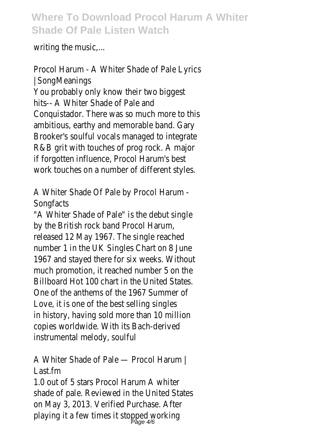writing the music....

Procol Harum - A Whiter Shade of Pale Lyrics | SongMeanings You probably only know their two biggest hits-- A Whiter Shade of Pale and Conquistador. There was so much more to this ambitious, earthy and memorable band. Gary Brooker's soulful vocals managed to integrate R&B grit with touches of prog rock. A major if forgotten influence, Procol Harum's best work touches on a number of different styles.

A Whiter Shade Of Pale by Procol Harum - **Songfacts** 

"A Whiter Shade of Pale" is the debut single by the British rock band Procol Harum, released 12 May 1967. The single reached number 1 in the UK Singles Chart on 8 June 1967 and stayed there for six weeks. Without much promotion, it reached number 5 on the Billboard Hot 100 chart in the United States. One of the anthems of the 1967 Summer of Love, it is one of the best selling singles in history, having sold more than 10 million copies worldwide. With its Bach-derived instrumental melody, soulful

A Whiter Shade of Pale — Procol Harum | Last.fm

1.0 out of 5 stars Procol Harum A whiter shade of pale. Reviewed in the United States on May 3, 2013. Verified Purchase. After playing it a few times it stopped working<br>Page 4/6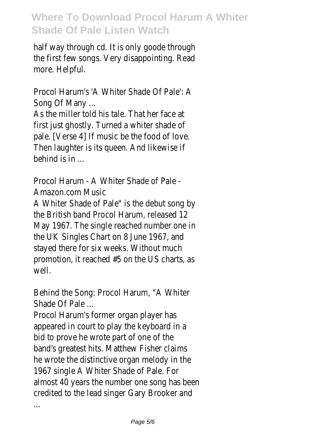half way through cd. It is only goode through the first few songs. Very disappointing. Read more. Helpful.

Procol Harum's 'A Whiter Shade Of Pale': A Song Of Many ...

As the miller told his tale. That her face at first just ghostly. Turned a whiter shade of pale. [Verse 4] If music be the food of love. Then laughter is its queen. And likewise if behind is in ...

Procol Harum - A Whiter Shade of Pale - Amazon.com Music

A Whiter Shade of Pale" is the debut song by the British band Procol Harum, released 12 May 1967. The single reached number one in the UK Singles Chart on 8 June 1967, and stayed there for six weeks. Without much promotion, it reached #5 on the US charts, as well.

Behind the Song: Procol Harum, "A Whiter Shade Of Pale ...

Procol Harum's former organ player has appeared in court to play the keyboard in a bid to prove he wrote part of one of the band's greatest hits. Matthew Fisher claims he wrote the distinctive organ melody in the 1967 single A Whiter Shade of Pale. For almost 40 years the number one song has been credited to the lead singer Gary Brooker and

...